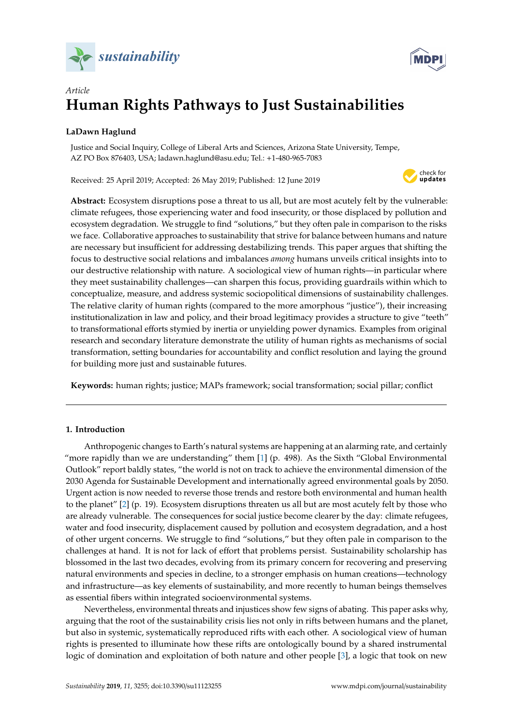



# *Article* **Human Rights Pathways to Just Sustainabilities**

# **LaDawn Haglund**

Justice and Social Inquiry, College of Liberal Arts and Sciences, Arizona State University, Tempe, AZ PO Box 876403, USA; ladawn.haglund@asu.edu; Tel.: +1-480-965-7083

Received: 25 April 2019; Accepted: 26 May 2019; Published: 12 June 2019



**Abstract:** Ecosystem disruptions pose a threat to us all, but are most acutely felt by the vulnerable: climate refugees, those experiencing water and food insecurity, or those displaced by pollution and ecosystem degradation. We struggle to find "solutions," but they often pale in comparison to the risks we face. Collaborative approaches to sustainability that strive for balance between humans and nature are necessary but insufficient for addressing destabilizing trends. This paper argues that shifting the focus to destructive social relations and imbalances *among* humans unveils critical insights into to our destructive relationship with nature. A sociological view of human rights—in particular where they meet sustainability challenges—can sharpen this focus, providing guardrails within which to conceptualize, measure, and address systemic sociopolitical dimensions of sustainability challenges. The relative clarity of human rights (compared to the more amorphous "justice"), their increasing institutionalization in law and policy, and their broad legitimacy provides a structure to give "teeth" to transformational efforts stymied by inertia or unyielding power dynamics. Examples from original research and secondary literature demonstrate the utility of human rights as mechanisms of social transformation, setting boundaries for accountability and conflict resolution and laying the ground for building more just and sustainable futures.

**Keywords:** human rights; justice; MAPs framework; social transformation; social pillar; conflict

# **1. Introduction**

Anthropogenic changes to Earth's natural systems are happening at an alarming rate, and certainly "more rapidly than we are understanding" them [\[1\]](#page-13-0) (p. 498). As the Sixth "Global Environmental Outlook" report baldly states, "the world is not on track to achieve the environmental dimension of the 2030 Agenda for Sustainable Development and internationally agreed environmental goals by 2050. Urgent action is now needed to reverse those trends and restore both environmental and human health to the planet" [\[2\]](#page-13-1) (p. 19). Ecosystem disruptions threaten us all but are most acutely felt by those who are already vulnerable. The consequences for social justice become clearer by the day: climate refugees, water and food insecurity, displacement caused by pollution and ecosystem degradation, and a host of other urgent concerns. We struggle to find "solutions," but they often pale in comparison to the challenges at hand. It is not for lack of effort that problems persist. Sustainability scholarship has blossomed in the last two decades, evolving from its primary concern for recovering and preserving natural environments and species in decline, to a stronger emphasis on human creations—technology and infrastructure—as key elements of sustainability, and more recently to human beings themselves as essential fibers within integrated socioenvironmental systems.

Nevertheless, environmental threats and injustices show few signs of abating. This paper asks why, arguing that the root of the sustainability crisis lies not only in rifts between humans and the planet, but also in systemic, systematically reproduced rifts with each other. A sociological view of human rights is presented to illuminate how these rifts are ontologically bound by a shared instrumental logic of domination and exploitation of both nature and other people [\[3\]](#page-13-2), a logic that took on new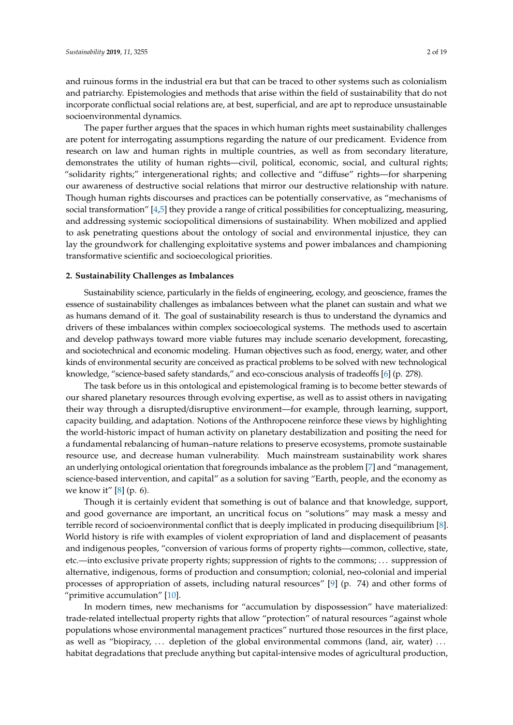and ruinous forms in the industrial era but that can be traced to other systems such as colonialism and patriarchy. Epistemologies and methods that arise within the field of sustainability that do not incorporate conflictual social relations are, at best, superficial, and are apt to reproduce unsustainable socioenvironmental dynamics.

The paper further argues that the spaces in which human rights meet sustainability challenges are potent for interrogating assumptions regarding the nature of our predicament. Evidence from research on law and human rights in multiple countries, as well as from secondary literature, demonstrates the utility of human rights—civil, political, economic, social, and cultural rights; "solidarity rights;" intergenerational rights; and collective and "diffuse" rights—for sharpening our awareness of destructive social relations that mirror our destructive relationship with nature. Though human rights discourses and practices can be potentially conservative, as "mechanisms of social transformation" [\[4](#page-13-3)[,5\]](#page-13-4) they provide a range of critical possibilities for conceptualizing, measuring, and addressing systemic sociopolitical dimensions of sustainability. When mobilized and applied to ask penetrating questions about the ontology of social and environmental injustice, they can lay the groundwork for challenging exploitative systems and power imbalances and championing transformative scientific and socioecological priorities.

# **2. Sustainability Challenges as Imbalances**

Sustainability science, particularly in the fields of engineering, ecology, and geoscience, frames the essence of sustainability challenges as imbalances between what the planet can sustain and what we as humans demand of it. The goal of sustainability research is thus to understand the dynamics and drivers of these imbalances within complex socioecological systems. The methods used to ascertain and develop pathways toward more viable futures may include scenario development, forecasting, and sociotechnical and economic modeling. Human objectives such as food, energy, water, and other kinds of environmental security are conceived as practical problems to be solved with new technological knowledge, "science-based safety standards," and eco-conscious analysis of tradeoffs [\[6\]](#page-13-5) (p. 278).

The task before us in this ontological and epistemological framing is to become better stewards of our shared planetary resources through evolving expertise, as well as to assist others in navigating their way through a disrupted/disruptive environment—for example, through learning, support, capacity building, and adaptation. Notions of the Anthropocene reinforce these views by highlighting the world-historic impact of human activity on planetary destabilization and positing the need for a fundamental rebalancing of human–nature relations to preserve ecosystems, promote sustainable resource use, and decrease human vulnerability. Much mainstream sustainability work shares an underlying ontological orientation that foregrounds imbalance as the problem [\[7\]](#page-13-6) and "management, science-based intervention, and capital" as a solution for saving "Earth, people, and the economy as we know it" [\[8\]](#page-13-7) (p. 6).

Though it is certainly evident that something is out of balance and that knowledge, support, and good governance are important, an uncritical focus on "solutions" may mask a messy and terrible record of socioenvironmental conflict that is deeply implicated in producing disequilibrium [\[8\]](#page-13-7). World history is rife with examples of violent expropriation of land and displacement of peasants and indigenous peoples, "conversion of various forms of property rights—common, collective, state, etc.—into exclusive private property rights; suppression of rights to the commons; . . . suppression of alternative, indigenous, forms of production and consumption; colonial, neo-colonial and imperial processes of appropriation of assets, including natural resources" [\[9\]](#page-13-8) (p. 74) and other forms of "primitive accumulation"  $[10]$ .

In modern times, new mechanisms for "accumulation by dispossession" have materialized: trade-related intellectual property rights that allow "protection" of natural resources "against whole populations whose environmental management practices" nurtured those resources in the first place, as well as "biopiracy, ... depletion of the global environmental commons (land, air, water) ... habitat degradations that preclude anything but capital-intensive modes of agricultural production,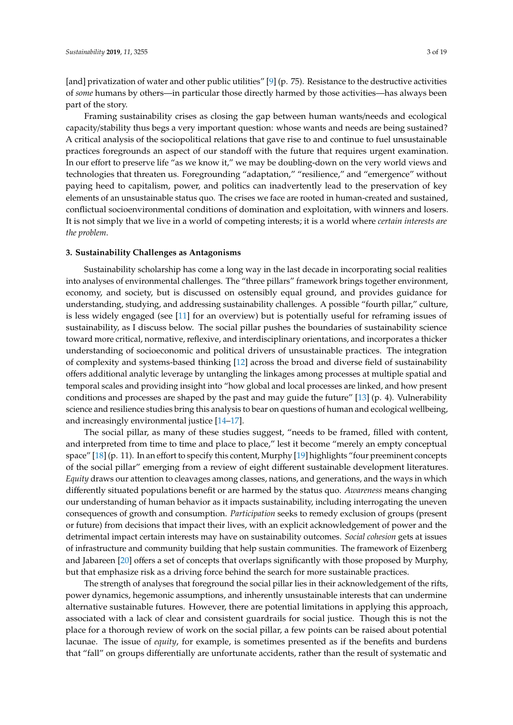[and] privatization of water and other public utilities" [\[9\]](#page-13-8) (p. 75). Resistance to the destructive activities of *some* humans by others—in particular those directly harmed by those activities—has always been part of the story.

Framing sustainability crises as closing the gap between human wants/needs and ecological capacity/stability thus begs a very important question: whose wants and needs are being sustained? A critical analysis of the sociopolitical relations that gave rise to and continue to fuel unsustainable practices foregrounds an aspect of our standoff with the future that requires urgent examination. In our effort to preserve life "as we know it," we may be doubling-down on the very world views and technologies that threaten us. Foregrounding "adaptation," "resilience," and "emergence" without paying heed to capitalism, power, and politics can inadvertently lead to the preservation of key elements of an unsustainable status quo. The crises we face are rooted in human-created and sustained, conflictual socioenvironmental conditions of domination and exploitation, with winners and losers. It is not simply that we live in a world of competing interests; it is a world where *certain interests are the problem*.

#### **3. Sustainability Challenges as Antagonisms**

Sustainability scholarship has come a long way in the last decade in incorporating social realities into analyses of environmental challenges. The "three pillars" framework brings together environment, economy, and society, but is discussed on ostensibly equal ground, and provides guidance for understanding, studying, and addressing sustainability challenges. A possible "fourth pillar," culture, is less widely engaged (see [\[11\]](#page-13-10) for an overview) but is potentially useful for reframing issues of sustainability, as I discuss below. The social pillar pushes the boundaries of sustainability science toward more critical, normative, reflexive, and interdisciplinary orientations, and incorporates a thicker understanding of socioeconomic and political drivers of unsustainable practices. The integration of complexity and systems-based thinking [\[12\]](#page-13-11) across the broad and diverse field of sustainability offers additional analytic leverage by untangling the linkages among processes at multiple spatial and temporal scales and providing insight into "how global and local processes are linked, and how present conditions and processes are shaped by the past and may guide the future" [\[13\]](#page-13-12) (p. 4). Vulnerability science and resilience studies bring this analysis to bear on questions of human and ecological wellbeing, and increasingly environmental justice [\[14–](#page-13-13)[17\]](#page-14-0).

The social pillar, as many of these studies suggest, "needs to be framed, filled with content, and interpreted from time to time and place to place," lest it become "merely an empty conceptual space" [\[18\]](#page-14-1) (p. 11). In an effort to specify this content, Murphy [\[19\]](#page-14-2) highlights "four preeminent concepts of the social pillar" emerging from a review of eight different sustainable development literatures. *Equity* draws our attention to cleavages among classes, nations, and generations, and the ways in which differently situated populations benefit or are harmed by the status quo. *Awareness* means changing our understanding of human behavior as it impacts sustainability, including interrogating the uneven consequences of growth and consumption. *Participation* seeks to remedy exclusion of groups (present or future) from decisions that impact their lives, with an explicit acknowledgement of power and the detrimental impact certain interests may have on sustainability outcomes. *Social cohesion* gets at issues of infrastructure and community building that help sustain communities. The framework of Eizenberg and Jabareen [\[20\]](#page-14-3) offers a set of concepts that overlaps significantly with those proposed by Murphy, but that emphasize risk as a driving force behind the search for more sustainable practices.

The strength of analyses that foreground the social pillar lies in their acknowledgement of the rifts, power dynamics, hegemonic assumptions, and inherently unsustainable interests that can undermine alternative sustainable futures. However, there are potential limitations in applying this approach, associated with a lack of clear and consistent guardrails for social justice. Though this is not the place for a thorough review of work on the social pillar, a few points can be raised about potential lacunae. The issue of *equity*, for example, is sometimes presented as if the benefits and burdens that "fall" on groups differentially are unfortunate accidents, rather than the result of systematic and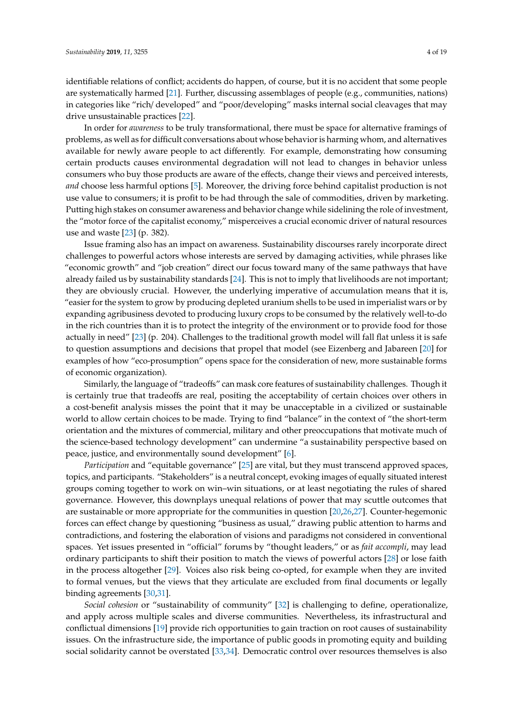identifiable relations of conflict; accidents do happen, of course, but it is no accident that some people are systematically harmed [\[21\]](#page-14-4). Further, discussing assemblages of people (e.g., communities, nations) in categories like "rich/ developed" and "poor/developing" masks internal social cleavages that may drive unsustainable practices [\[22\]](#page-14-5).

In order for *awareness* to be truly transformational, there must be space for alternative framings of problems, as well as for difficult conversations about whose behavior is harming whom, and alternatives available for newly aware people to act differently. For example, demonstrating how consuming certain products causes environmental degradation will not lead to changes in behavior unless consumers who buy those products are aware of the effects, change their views and perceived interests, *and* choose less harmful options [\[5\]](#page-13-4). Moreover, the driving force behind capitalist production is not use value to consumers; it is profit to be had through the sale of commodities, driven by marketing. Putting high stakes on consumer awareness and behavior change while sidelining the role of investment, the "motor force of the capitalist economy," misperceives a crucial economic driver of natural resources use and waste [\[23\]](#page-14-6) (p. 382).

Issue framing also has an impact on awareness. Sustainability discourses rarely incorporate direct challenges to powerful actors whose interests are served by damaging activities, while phrases like "economic growth" and "job creation" direct our focus toward many of the same pathways that have already failed us by sustainability standards [\[24\]](#page-14-7). This is not to imply that livelihoods are not important; they are obviously crucial. However, the underlying imperative of accumulation means that it is, "easier for the system to grow by producing depleted uranium shells to be used in imperialist wars or by expanding agribusiness devoted to producing luxury crops to be consumed by the relatively well-to-do in the rich countries than it is to protect the integrity of the environment or to provide food for those actually in need" [\[23\]](#page-14-6) (p. 204). Challenges to the traditional growth model will fall flat unless it is safe to question assumptions and decisions that propel that model (see Eizenberg and Jabareen [\[20\]](#page-14-3) for examples of how "eco-prosumption" opens space for the consideration of new, more sustainable forms of economic organization).

Similarly, the language of "tradeoffs" can mask core features of sustainability challenges. Though it is certainly true that tradeoffs are real, positing the acceptability of certain choices over others in a cost-benefit analysis misses the point that it may be unacceptable in a civilized or sustainable world to allow certain choices to be made. Trying to find "balance" in the context of "the short-term orientation and the mixtures of commercial, military and other preoccupations that motivate much of the science-based technology development" can undermine "a sustainability perspective based on peace, justice, and environmentally sound development" [\[6\]](#page-13-5).

*Participation* and "equitable governance" [\[25\]](#page-14-8) are vital, but they must transcend approved spaces, topics, and participants. "Stakeholders" is a neutral concept, evoking images of equally situated interest groups coming together to work on win–win situations, or at least negotiating the rules of shared governance. However, this downplays unequal relations of power that may scuttle outcomes that are sustainable or more appropriate for the communities in question [\[20,](#page-14-3)[26,](#page-14-9)[27\]](#page-14-10). Counter-hegemonic forces can effect change by questioning "business as usual," drawing public attention to harms and contradictions, and fostering the elaboration of visions and paradigms not considered in conventional spaces. Yet issues presented in "official" forums by "thought leaders," or as *fait accompli*, may lead ordinary participants to shift their position to match the views of powerful actors [\[28\]](#page-14-11) or lose faith in the process altogether [\[29\]](#page-14-12). Voices also risk being co-opted, for example when they are invited to formal venues, but the views that they articulate are excluded from final documents or legally binding agreements [\[30](#page-14-13)[,31\]](#page-14-14).

*Social cohesion* or "sustainability of community" [\[32\]](#page-14-15) is challenging to define, operationalize, and apply across multiple scales and diverse communities. Nevertheless, its infrastructural and conflictual dimensions [\[19\]](#page-14-2) provide rich opportunities to gain traction on root causes of sustainability issues. On the infrastructure side, the importance of public goods in promoting equity and building social solidarity cannot be overstated [\[33,](#page-14-16)[34\]](#page-14-17). Democratic control over resources themselves is also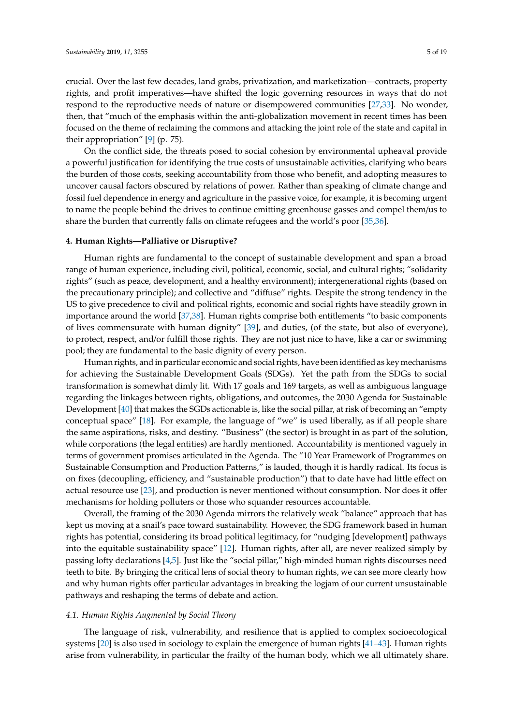crucial. Over the last few decades, land grabs, privatization, and marketization—contracts, property rights, and profit imperatives—have shifted the logic governing resources in ways that do not respond to the reproductive needs of nature or disempowered communities [\[27,](#page-14-10)[33\]](#page-14-16). No wonder, then, that "much of the emphasis within the anti-globalization movement in recent times has been focused on the theme of reclaiming the commons and attacking the joint role of the state and capital in their appropriation" [\[9\]](#page-13-8) (p. 75).

On the conflict side, the threats posed to social cohesion by environmental upheaval provide a powerful justification for identifying the true costs of unsustainable activities, clarifying who bears the burden of those costs, seeking accountability from those who benefit, and adopting measures to uncover causal factors obscured by relations of power. Rather than speaking of climate change and fossil fuel dependence in energy and agriculture in the passive voice, for example, it is becoming urgent to name the people behind the drives to continue emitting greenhouse gasses and compel them/us to share the burden that currently falls on climate refugees and the world's poor [\[35,](#page-14-18)[36\]](#page-14-19).

# **4. Human Rights—Palliative or Disruptive?**

Human rights are fundamental to the concept of sustainable development and span a broad range of human experience, including civil, political, economic, social, and cultural rights; "solidarity rights" (such as peace, development, and a healthy environment); intergenerational rights (based on the precautionary principle); and collective and "diffuse" rights. Despite the strong tendency in the US to give precedence to civil and political rights, economic and social rights have steadily grown in importance around the world [\[37](#page-14-20)[,38\]](#page-14-21). Human rights comprise both entitlements "to basic components of lives commensurate with human dignity" [\[39\]](#page-14-22), and duties, (of the state, but also of everyone), to protect, respect, and/or fulfill those rights. They are not just nice to have, like a car or swimming pool; they are fundamental to the basic dignity of every person.

Human rights, and in particular economic and social rights, have been identified as key mechanisms for achieving the Sustainable Development Goals (SDGs). Yet the path from the SDGs to social transformation is somewhat dimly lit. With 17 goals and 169 targets, as well as ambiguous language regarding the linkages between rights, obligations, and outcomes, the 2030 Agenda for Sustainable Development [\[40\]](#page-14-23) that makes the SGDs actionable is, like the social pillar, at risk of becoming an "empty conceptual space" [\[18\]](#page-14-1). For example, the language of "we" is used liberally, as if all people share the same aspirations, risks, and destiny. "Business" (the sector) is brought in as part of the solution, while corporations (the legal entities) are hardly mentioned. Accountability is mentioned vaguely in terms of government promises articulated in the Agenda. The "10 Year Framework of Programmes on Sustainable Consumption and Production Patterns," is lauded, though it is hardly radical. Its focus is on fixes (decoupling, efficiency, and "sustainable production") that to date have had little effect on actual resource use [\[23\]](#page-14-6), and production is never mentioned without consumption. Nor does it offer mechanisms for holding polluters or those who squander resources accountable.

Overall, the framing of the 2030 Agenda mirrors the relatively weak "balance" approach that has kept us moving at a snail's pace toward sustainability. However, the SDG framework based in human rights has potential, considering its broad political legitimacy, for "nudging [development] pathways into the equitable sustainability space" [\[12\]](#page-13-11). Human rights, after all, are never realized simply by passing lofty declarations [\[4,](#page-13-3)[5\]](#page-13-4). Just like the "social pillar," high-minded human rights discourses need teeth to bite. By bringing the critical lens of social theory to human rights, we can see more clearly how and why human rights offer particular advantages in breaking the logjam of our current unsustainable pathways and reshaping the terms of debate and action.

# *4.1. Human Rights Augmented by Social Theory*

The language of risk, vulnerability, and resilience that is applied to complex socioecological systems [\[20\]](#page-14-3) is also used in sociology to explain the emergence of human rights [\[41–](#page-14-24)[43\]](#page-14-25). Human rights arise from vulnerability, in particular the frailty of the human body, which we all ultimately share.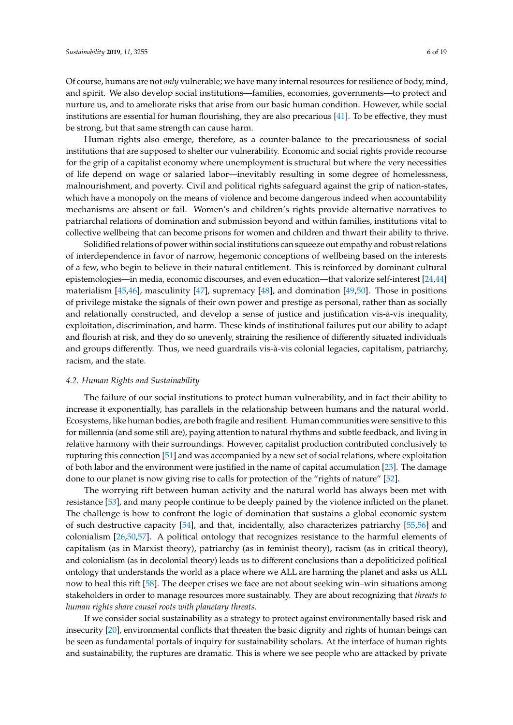Of course, humans are not *only* vulnerable; we have many internal resources for resilience of body, mind, and spirit. We also develop social institutions—families, economies, governments—to protect and nurture us, and to ameliorate risks that arise from our basic human condition. However, while social institutions are essential for human flourishing, they are also precarious [\[41\]](#page-14-24). To be effective, they must be strong, but that same strength can cause harm.

Human rights also emerge, therefore, as a counter-balance to the precariousness of social institutions that are supposed to shelter our vulnerability. Economic and social rights provide recourse for the grip of a capitalist economy where unemployment is structural but where the very necessities of life depend on wage or salaried labor—inevitably resulting in some degree of homelessness, malnourishment, and poverty. Civil and political rights safeguard against the grip of nation-states, which have a monopoly on the means of violence and become dangerous indeed when accountability mechanisms are absent or fail. Women's and children's rights provide alternative narratives to patriarchal relations of domination and submission beyond and within families, institutions vital to collective wellbeing that can become prisons for women and children and thwart their ability to thrive.

Solidified relations of power within social institutions can squeeze out empathy and robust relations of interdependence in favor of narrow, hegemonic conceptions of wellbeing based on the interests of a few, who begin to believe in their natural entitlement. This is reinforced by dominant cultural epistemologies—in media, economic discourses, and even education—that valorize self-interest [\[24,](#page-14-7)[44\]](#page-15-0) materialism [\[45,](#page-15-1)[46\]](#page-15-2), masculinity [\[47\]](#page-15-3), supremacy [\[48\]](#page-15-4), and domination [\[49,](#page-15-5)[50\]](#page-15-6). Those in positions of privilege mistake the signals of their own power and prestige as personal, rather than as socially and relationally constructed, and develop a sense of justice and justification vis-à-vis inequality, exploitation, discrimination, and harm. These kinds of institutional failures put our ability to adapt and flourish at risk, and they do so unevenly, straining the resilience of differently situated individuals and groups differently. Thus, we need guardrails vis-à-vis colonial legacies, capitalism, patriarchy, racism, and the state.

# *4.2. Human Rights and Sustainability*

The failure of our social institutions to protect human vulnerability, and in fact their ability to increase it exponentially, has parallels in the relationship between humans and the natural world. Ecosystems, like human bodies, are both fragile and resilient. Human communities were sensitive to this for millennia (and some still are), paying attention to natural rhythms and subtle feedback, and living in relative harmony with their surroundings. However, capitalist production contributed conclusively to rupturing this connection [\[51\]](#page-15-7) and was accompanied by a new set of social relations, where exploitation of both labor and the environment were justified in the name of capital accumulation [\[23\]](#page-14-6). The damage done to our planet is now giving rise to calls for protection of the "rights of nature" [\[52\]](#page-15-8).

The worrying rift between human activity and the natural world has always been met with resistance [\[53\]](#page-15-9), and many people continue to be deeply pained by the violence inflicted on the planet. The challenge is how to confront the logic of domination that sustains a global economic system of such destructive capacity [\[54\]](#page-15-10), and that, incidentally, also characterizes patriarchy [\[55,](#page-15-11)[56\]](#page-15-12) and colonialism [\[26,](#page-14-9)[50,](#page-15-6)[57\]](#page-15-13). A political ontology that recognizes resistance to the harmful elements of capitalism (as in Marxist theory), patriarchy (as in feminist theory), racism (as in critical theory), and colonialism (as in decolonial theory) leads us to different conclusions than a depoliticized political ontology that understands the world as a place where we ALL are harming the planet and asks us ALL now to heal this rift [\[58\]](#page-15-14). The deeper crises we face are not about seeking win–win situations among stakeholders in order to manage resources more sustainably. They are about recognizing that *threats to human rights share causal roots with planetary threats*.

If we consider social sustainability as a strategy to protect against environmentally based risk and insecurity [\[20\]](#page-14-3), environmental conflicts that threaten the basic dignity and rights of human beings can be seen as fundamental portals of inquiry for sustainability scholars. At the interface of human rights and sustainability, the ruptures are dramatic. This is where we see people who are attacked by private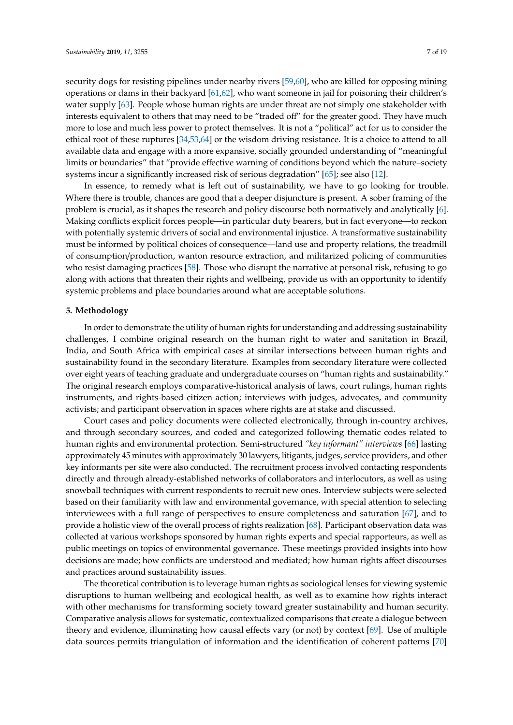security dogs for resisting pipelines under nearby rivers [\[59,](#page-15-15)[60\]](#page-15-16), who are killed for opposing mining operations or dams in their backyard [\[61](#page-15-17)[,62\]](#page-15-18), who want someone in jail for poisoning their children's water supply [\[63\]](#page-15-19). People whose human rights are under threat are not simply one stakeholder with interests equivalent to others that may need to be "traded off" for the greater good. They have much more to lose and much less power to protect themselves. It is not a "political" act for us to consider the ethical root of these ruptures [\[34,](#page-14-17)[53,](#page-15-9)[64\]](#page-15-20) or the wisdom driving resistance. It is a choice to attend to all available data and engage with a more expansive, socially grounded understanding of "meaningful limits or boundaries" that "provide effective warning of conditions beyond which the nature–society systems incur a significantly increased risk of serious degradation" [\[65\]](#page-15-21); see also [\[12\]](#page-13-11).

In essence, to remedy what is left out of sustainability, we have to go looking for trouble. Where there is trouble, chances are good that a deeper disjuncture is present. A sober framing of the problem is crucial, as it shapes the research and policy discourse both normatively and analytically [\[6\]](#page-13-5). Making conflicts explicit forces people—in particular duty bearers, but in fact everyone—to reckon with potentially systemic drivers of social and environmental injustice. A transformative sustainability must be informed by political choices of consequence—land use and property relations, the treadmill of consumption/production, wanton resource extraction, and militarized policing of communities who resist damaging practices [\[58\]](#page-15-14). Those who disrupt the narrative at personal risk, refusing to go along with actions that threaten their rights and wellbeing, provide us with an opportunity to identify systemic problems and place boundaries around what are acceptable solutions.

#### **5. Methodology**

In order to demonstrate the utility of human rights for understanding and addressing sustainability challenges, I combine original research on the human right to water and sanitation in Brazil, India, and South Africa with empirical cases at similar intersections between human rights and sustainability found in the secondary literature. Examples from secondary literature were collected over eight years of teaching graduate and undergraduate courses on "human rights and sustainability." The original research employs comparative-historical analysis of laws, court rulings, human rights instruments, and rights-based citizen action; interviews with judges, advocates, and community activists; and participant observation in spaces where rights are at stake and discussed.

Court cases and policy documents were collected electronically, through in-country archives, and through secondary sources, and coded and categorized following thematic codes related to human rights and environmental protection. Semi-structured *"key informant" interviews* [\[66\]](#page-15-22) lasting approximately 45 minutes with approximately 30 lawyers, litigants, judges, service providers, and other key informants per site were also conducted. The recruitment process involved contacting respondents directly and through already-established networks of collaborators and interlocutors, as well as using snowball techniques with current respondents to recruit new ones. Interview subjects were selected based on their familiarity with law and environmental governance, with special attention to selecting interviewees with a full range of perspectives to ensure completeness and saturation [\[67\]](#page-15-23), and to provide a holistic view of the overall process of rights realization [\[68\]](#page-15-24). Participant observation data was collected at various workshops sponsored by human rights experts and special rapporteurs, as well as public meetings on topics of environmental governance. These meetings provided insights into how decisions are made; how conflicts are understood and mediated; how human rights affect discourses and practices around sustainability issues.

The theoretical contribution is to leverage human rights as sociological lenses for viewing systemic disruptions to human wellbeing and ecological health, as well as to examine how rights interact with other mechanisms for transforming society toward greater sustainability and human security. Comparative analysis allows for systematic, contextualized comparisons that create a dialogue between theory and evidence, illuminating how causal effects vary (or not) by context [\[69\]](#page-15-25). Use of multiple data sources permits triangulation of information and the identification of coherent patterns [\[70\]](#page-15-26)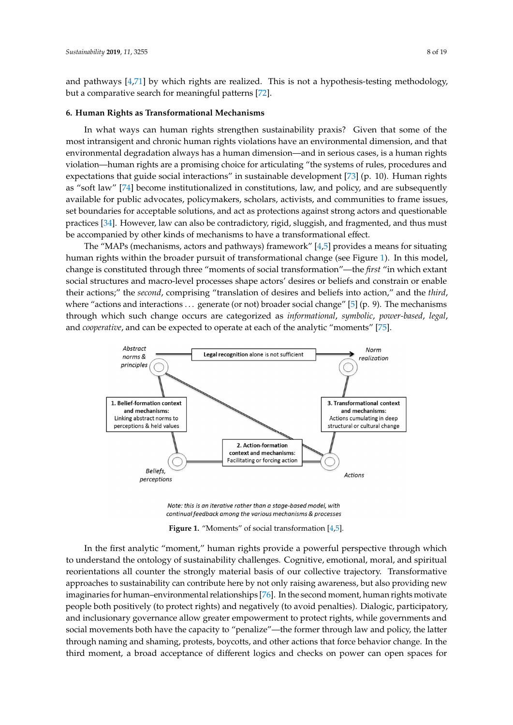and pathways [\[4,](#page-13-3)[71\]](#page-15-27) by which rights are realized. This is not a hypothesis-testing methodology, but a comparative search for meaningful patterns [\[72\]](#page-15-28).

#### **6. Human Rights as Transformational Mechanisms**

In what ways can human rights strengthen sustainability praxis? Given that some of the most intransigent and chronic human rights violations have an environmental dimension, and that environmental degradation always has a human dimension—and in serious cases, is a human rights *Sustainability* **2019**, *11*, x FOR PEER REVIEW 8 of 19 violation—human rights are a promising choice for articulating "the systems of rules, procedures and expectations that guide social interactions" in sustainable development [\[73\]](#page-15-29) (p. 10). Human rights as "soft law" [\[74\]](#page-15-30) become institutionalized in constitutions, law, and policy, and are subsequently available for public advocates, policymakers, scholars, activists, and communities to frame issues, set boundaries for acceptable solutions, and act as protections against strong actors and questionable practices [\[34\]](#page-14-17). However, law can also be contradictory, rigid, sluggish, and fragmented, and thus must be accompanied by other kinds of mechanisms to have a transformational effect.

The "MAPs (mechanisms, actors and pathways) framework" [\[4](#page-13-3)[,5\]](#page-13-4) provides a means for situating human rights within the broader pursuit of transformational change (see Figure [1\)](#page-7-0). In this model, change is constituted through three "moments of social transformation"—the *first* "in which extant social structures and macro-level processes shape actors' desires or beliefs and constrain or enable their actions;" the *second*, comprising "translation of desires and beliefs into action," and the *third*, where "actions and interactions... generate (or not) broader social change" [\[5\]](#page-13-4) (p. 9). The mechanisms through which such change occurs are categorized as informational, symbolic, power-based, legal, and *cooperative*, and can be expected to operate at each of the analytic "moments" [\[75\]](#page-16-0).

<span id="page-7-0"></span>

Note: this is an iterative rather than a stage-based model, with continual feedback among the various mechanisms & processes

**Figure 1.** "Moments" of social transformation [4,5]*.* **Figure 1.** "Moments" of social transformation [\[4](#page-13-3)[,5\]](#page-13-4).

to understand the ontology of sustainability challenges. Cognitive, emotional, moral, and spiritual reorientations all counter the strongly material basis of our collective trajectory. Transformative approaches to sustainability can contribute here by not only raising awareness, but also providing new imaginaries for human–environmental relationships [\[76\]](#page-16-1). In the second moment, human rights motivate people both positively (to protect rights) and negatively (to avoid penalties). Dialogic, participatory, and inclusionary governance allow greater empowerment to protect rights, while governments and social movements both have the capacity to "penalize"—the former through law and policy, the latter through naming and shaming, protests, boycotts, and other actions that force behavior change. In the third moment, a broad acceptance of different logics and checks on power can open spaces for In the first analytic "moment," human rights provide a powerful perspective through which

behavior change. In the third moment, a broad acceptance of different logics and checks on power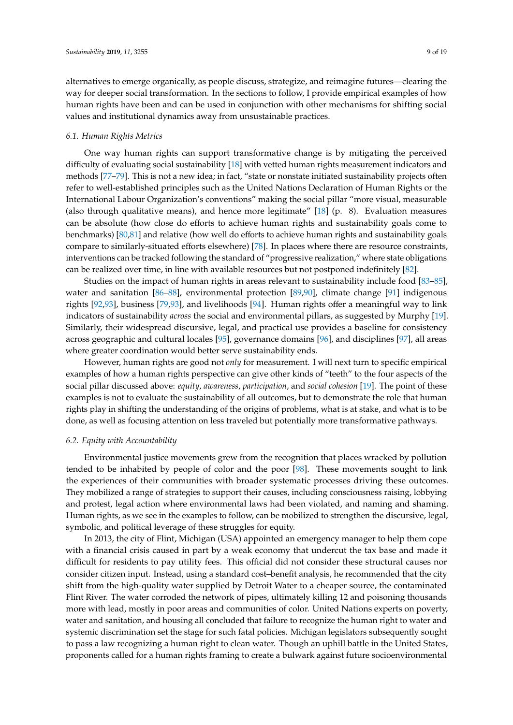alternatives to emerge organically, as people discuss, strategize, and reimagine futures—clearing the way for deeper social transformation. In the sections to follow, I provide empirical examples of how human rights have been and can be used in conjunction with other mechanisms for shifting social values and institutional dynamics away from unsustainable practices.

# *6.1. Human Rights Metrics*

One way human rights can support transformative change is by mitigating the perceived difficulty of evaluating social sustainability [\[18\]](#page-14-1) with vetted human rights measurement indicators and methods [\[77–](#page-16-2)[79\]](#page-16-3). This is not a new idea; in fact, "state or nonstate initiated sustainability projects often refer to well-established principles such as the United Nations Declaration of Human Rights or the International Labour Organization's conventions" making the social pillar "more visual, measurable (also through qualitative means), and hence more legitimate" [\[18\]](#page-14-1) (p. 8). Evaluation measures can be absolute (how close do efforts to achieve human rights and sustainability goals come to benchmarks) [\[80,](#page-16-4)[81\]](#page-16-5) and relative (how well do efforts to achieve human rights and sustainability goals compare to similarly-situated efforts elsewhere) [\[78\]](#page-16-6). In places where there are resource constraints, interventions can be tracked following the standard of "progressive realization," where state obligations can be realized over time, in line with available resources but not postponed indefinitely [\[82\]](#page-16-7).

Studies on the impact of human rights in areas relevant to sustainability include food [\[83](#page-16-8)[–85\]](#page-16-9), water and sanitation [\[86](#page-16-10)-88], environmental protection [\[89,](#page-16-12)[90\]](#page-16-13), climate change [\[91\]](#page-16-14) indigenous rights [\[92,](#page-16-15)[93\]](#page-16-16), business [\[79](#page-16-3)[,93\]](#page-16-16), and livelihoods [\[94\]](#page-16-17). Human rights offer a meaningful way to link indicators of sustainability *across* the social and environmental pillars, as suggested by Murphy [\[19\]](#page-14-2). Similarly, their widespread discursive, legal, and practical use provides a baseline for consistency across geographic and cultural locales [\[95\]](#page-16-18), governance domains [\[96\]](#page-16-19), and disciplines [\[97\]](#page-16-20), all areas where greater coordination would better serve sustainability ends.

However, human rights are good not *only* for measurement. I will next turn to specific empirical examples of how a human rights perspective can give other kinds of "teeth" to the four aspects of the social pillar discussed above: *equity*, *awareness*, *participation*, and *social cohesion* [\[19\]](#page-14-2). The point of these examples is not to evaluate the sustainability of all outcomes, but to demonstrate the role that human rights play in shifting the understanding of the origins of problems, what is at stake, and what is to be done, as well as focusing attention on less traveled but potentially more transformative pathways.

#### *6.2. Equity with Accountability*

Environmental justice movements grew from the recognition that places wracked by pollution tended to be inhabited by people of color and the poor [\[98\]](#page-16-21). These movements sought to link the experiences of their communities with broader systematic processes driving these outcomes. They mobilized a range of strategies to support their causes, including consciousness raising, lobbying and protest, legal action where environmental laws had been violated, and naming and shaming. Human rights, as we see in the examples to follow, can be mobilized to strengthen the discursive, legal, symbolic, and political leverage of these struggles for equity.

In 2013, the city of Flint, Michigan (USA) appointed an emergency manager to help them cope with a financial crisis caused in part by a weak economy that undercut the tax base and made it difficult for residents to pay utility fees. This official did not consider these structural causes nor consider citizen input. Instead, using a standard cost–benefit analysis, he recommended that the city shift from the high-quality water supplied by Detroit Water to a cheaper source, the contaminated Flint River. The water corroded the network of pipes, ultimately killing 12 and poisoning thousands more with lead, mostly in poor areas and communities of color. United Nations experts on poverty, water and sanitation, and housing all concluded that failure to recognize the human right to water and systemic discrimination set the stage for such fatal policies. Michigan legislators subsequently sought to pass a law recognizing a human right to clean water. Though an uphill battle in the United States, proponents called for a human rights framing to create a bulwark against future socioenvironmental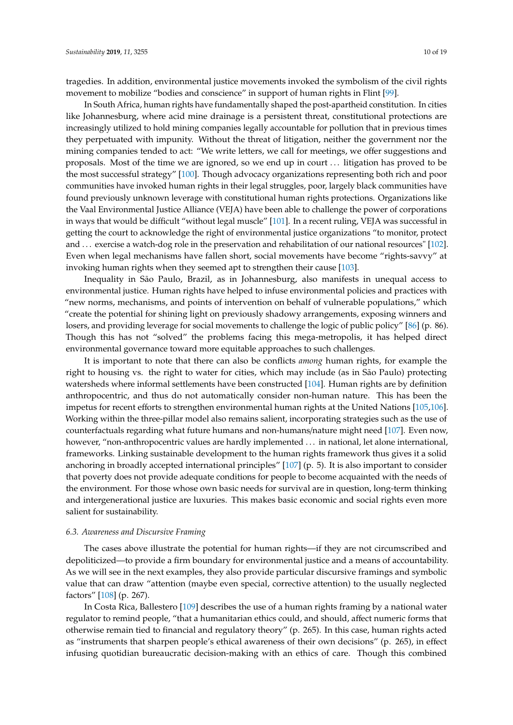tragedies. In addition, environmental justice movements invoked the symbolism of the civil rights movement to mobilize "bodies and conscience" in support of human rights in Flint [\[99\]](#page-16-22).

In South Africa, human rights have fundamentally shaped the post-apartheid constitution. In cities like Johannesburg, where acid mine drainage is a persistent threat, constitutional protections are increasingly utilized to hold mining companies legally accountable for pollution that in previous times they perpetuated with impunity. Without the threat of litigation, neither the government nor the mining companies tended to act: "We write letters, we call for meetings, we offer suggestions and proposals. Most of the time we are ignored, so we end up in court . . . litigation has proved to be the most successful strategy" [\[100\]](#page-16-23). Though advocacy organizations representing both rich and poor communities have invoked human rights in their legal struggles, poor, largely black communities have found previously unknown leverage with constitutional human rights protections. Organizations like the Vaal Environmental Justice Alliance (VEJA) have been able to challenge the power of corporations in ways that would be difficult "without legal muscle" [\[101\]](#page-16-24). In a recent ruling, VEJA was successful in getting the court to acknowledge the right of environmental justice organizations "to monitor, protect and ... exercise a watch-dog role in the preservation and rehabilitation of our national resources" [\[102\]](#page-17-0). Even when legal mechanisms have fallen short, social movements have become "rights-savvy" at invoking human rights when they seemed apt to strengthen their cause [\[103\]](#page-17-1).

Inequality in São Paulo, Brazil, as in Johannesburg, also manifests in unequal access to environmental justice. Human rights have helped to infuse environmental policies and practices with "new norms, mechanisms, and points of intervention on behalf of vulnerable populations," which "create the potential for shining light on previously shadowy arrangements, exposing winners and losers, and providing leverage for social movements to challenge the logic of public policy" [\[86\]](#page-16-10) (p. 86). Though this has not "solved" the problems facing this mega-metropolis, it has helped direct environmental governance toward more equitable approaches to such challenges.

It is important to note that there can also be conflicts *among* human rights, for example the right to housing vs. the right to water for cities, which may include (as in São Paulo) protecting watersheds where informal settlements have been constructed [\[104\]](#page-17-2). Human rights are by definition anthropocentric, and thus do not automatically consider non-human nature. This has been the impetus for recent efforts to strengthen environmental human rights at the United Nations [\[105,](#page-17-3)[106\]](#page-17-4). Working within the three-pillar model also remains salient, incorporating strategies such as the use of counterfactuals regarding what future humans and non-humans/nature might need [\[107\]](#page-17-5). Even now, however, "non-anthropocentric values are hardly implemented . . . in national, let alone international, frameworks. Linking sustainable development to the human rights framework thus gives it a solid anchoring in broadly accepted international principles" [\[107\]](#page-17-5) (p. 5). It is also important to consider that poverty does not provide adequate conditions for people to become acquainted with the needs of the environment. For those whose own basic needs for survival are in question, long-term thinking and intergenerational justice are luxuries. This makes basic economic and social rights even more salient for sustainability.

# *6.3. Awareness and Discursive Framing*

The cases above illustrate the potential for human rights—if they are not circumscribed and depoliticized—to provide a firm boundary for environmental justice and a means of accountability. As we will see in the next examples, they also provide particular discursive framings and symbolic value that can draw "attention (maybe even special, corrective attention) to the usually neglected factors" [\[108\]](#page-17-6) (p. 267).

In Costa Rica, Ballestero [\[109\]](#page-17-7) describes the use of a human rights framing by a national water regulator to remind people, "that a humanitarian ethics could, and should, affect numeric forms that otherwise remain tied to financial and regulatory theory" (p. 265). In this case, human rights acted as "instruments that sharpen people's ethical awareness of their own decisions" (p. 265), in effect infusing quotidian bureaucratic decision-making with an ethics of care. Though this combined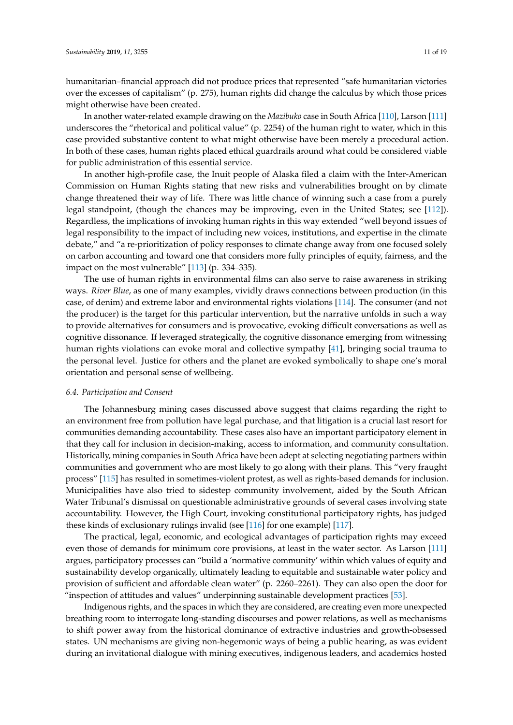humanitarian–financial approach did not produce prices that represented "safe humanitarian victories over the excesses of capitalism" (p. 275), human rights did change the calculus by which those prices might otherwise have been created.

In another water-related example drawing on the *Mazibuko* case in South Africa [\[110\]](#page-17-8), Larson [\[111\]](#page-17-9) underscores the "rhetorical and political value" (p. 2254) of the human right to water, which in this case provided substantive content to what might otherwise have been merely a procedural action. In both of these cases, human rights placed ethical guardrails around what could be considered viable for public administration of this essential service.

In another high-profile case, the Inuit people of Alaska filed a claim with the Inter-American Commission on Human Rights stating that new risks and vulnerabilities brought on by climate change threatened their way of life. There was little chance of winning such a case from a purely legal standpoint, (though the chances may be improving, even in the United States; see [\[112\]](#page-17-10)). Regardless, the implications of invoking human rights in this way extended "well beyond issues of legal responsibility to the impact of including new voices, institutions, and expertise in the climate debate," and "a re-prioritization of policy responses to climate change away from one focused solely on carbon accounting and toward one that considers more fully principles of equity, fairness, and the impact on the most vulnerable" [\[113\]](#page-17-11) (p. 334–335).

The use of human rights in environmental films can also serve to raise awareness in striking ways. *River Blue*, as one of many examples, vividly draws connections between production (in this case, of denim) and extreme labor and environmental rights violations [\[114\]](#page-17-12). The consumer (and not the producer) is the target for this particular intervention, but the narrative unfolds in such a way to provide alternatives for consumers and is provocative, evoking difficult conversations as well as cognitive dissonance. If leveraged strategically, the cognitive dissonance emerging from witnessing human rights violations can evoke moral and collective sympathy [\[41\]](#page-14-24), bringing social trauma to the personal level. Justice for others and the planet are evoked symbolically to shape one's moral orientation and personal sense of wellbeing.

# *6.4. Participation and Consent*

The Johannesburg mining cases discussed above suggest that claims regarding the right to an environment free from pollution have legal purchase, and that litigation is a crucial last resort for communities demanding accountability. These cases also have an important participatory element in that they call for inclusion in decision-making, access to information, and community consultation. Historically, mining companies in South Africa have been adept at selecting negotiating partners within communities and government who are most likely to go along with their plans. This "very fraught process" [\[115\]](#page-17-13) has resulted in sometimes-violent protest, as well as rights-based demands for inclusion. Municipalities have also tried to sidestep community involvement, aided by the South African Water Tribunal's dismissal on questionable administrative grounds of several cases involving state accountability. However, the High Court, invoking constitutional participatory rights, has judged these kinds of exclusionary rulings invalid (see [\[116\]](#page-17-14) for one example) [\[117\]](#page-17-15).

The practical, legal, economic, and ecological advantages of participation rights may exceed even those of demands for minimum core provisions, at least in the water sector. As Larson [\[111\]](#page-17-9) argues, participatory processes can "build a 'normative community' within which values of equity and sustainability develop organically, ultimately leading to equitable and sustainable water policy and provision of sufficient and affordable clean water" (p. 2260–2261). They can also open the door for "inspection of attitudes and values" underpinning sustainable development practices [\[53\]](#page-15-9).

Indigenous rights, and the spaces in which they are considered, are creating even more unexpected breathing room to interrogate long-standing discourses and power relations, as well as mechanisms to shift power away from the historical dominance of extractive industries and growth-obsessed states. UN mechanisms are giving non-hegemonic ways of being a public hearing, as was evident during an invitational dialogue with mining executives, indigenous leaders, and academics hosted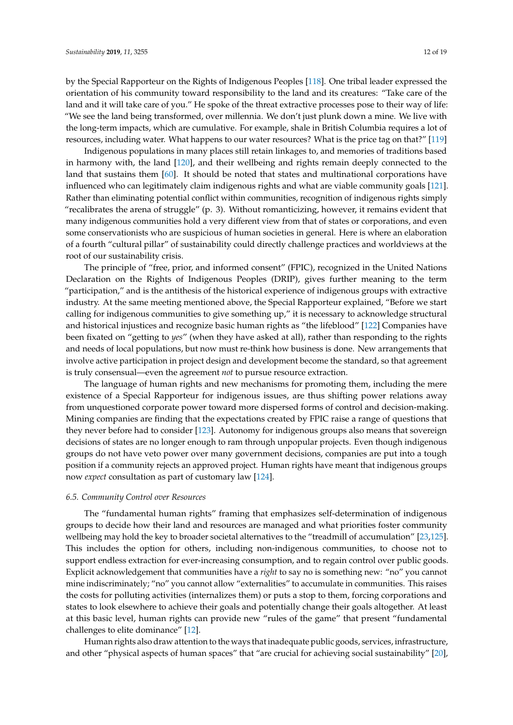by the Special Rapporteur on the Rights of Indigenous Peoples [\[118\]](#page-17-16). One tribal leader expressed the orientation of his community toward responsibility to the land and its creatures: "Take care of the land and it will take care of you." He spoke of the threat extractive processes pose to their way of life: "We see the land being transformed, over millennia. We don't just plunk down a mine. We live with the long-term impacts, which are cumulative. For example, shale in British Columbia requires a lot of resources, including water. What happens to our water resources? What is the price tag on that?" [\[119\]](#page-17-17)

Indigenous populations in many places still retain linkages to, and memories of traditions based in harmony with, the land [\[120\]](#page-17-18), and their wellbeing and rights remain deeply connected to the land that sustains them [\[60\]](#page-15-16). It should be noted that states and multinational corporations have influenced who can legitimately claim indigenous rights and what are viable community goals [\[121\]](#page-17-19). Rather than eliminating potential conflict within communities, recognition of indigenous rights simply "recalibrates the arena of struggle" (p. 3). Without romanticizing, however, it remains evident that many indigenous communities hold a very different view from that of states or corporations, and even some conservationists who are suspicious of human societies in general. Here is where an elaboration of a fourth "cultural pillar" of sustainability could directly challenge practices and worldviews at the root of our sustainability crisis.

The principle of "free, prior, and informed consent" (FPIC), recognized in the United Nations Declaration on the Rights of Indigenous Peoples (DRIP), gives further meaning to the term "participation," and is the antithesis of the historical experience of indigenous groups with extractive industry. At the same meeting mentioned above, the Special Rapporteur explained, "Before we start calling for indigenous communities to give something up," it is necessary to acknowledge structural and historical injustices and recognize basic human rights as "the lifeblood" [\[122\]](#page-17-20) Companies have been fixated on "getting to *yes*" (when they have asked at all), rather than responding to the rights and needs of local populations, but now must re-think how business is done. New arrangements that involve active participation in project design and development become the standard, so that agreement is truly consensual—even the agreement *not* to pursue resource extraction.

The language of human rights and new mechanisms for promoting them, including the mere existence of a Special Rapporteur for indigenous issues, are thus shifting power relations away from unquestioned corporate power toward more dispersed forms of control and decision-making. Mining companies are finding that the expectations created by FPIC raise a range of questions that they never before had to consider [\[123\]](#page-17-21). Autonomy for indigenous groups also means that sovereign decisions of states are no longer enough to ram through unpopular projects. Even though indigenous groups do not have veto power over many government decisions, companies are put into a tough position if a community rejects an approved project. Human rights have meant that indigenous groups now *expect* consultation as part of customary law [\[124\]](#page-17-22).

#### *6.5. Community Control over Resources*

The "fundamental human rights" framing that emphasizes self-determination of indigenous groups to decide how their land and resources are managed and what priorities foster community wellbeing may hold the key to broader societal alternatives to the "treadmill of accumulation" [\[23,](#page-14-6)[125\]](#page-17-23). This includes the option for others, including non-indigenous communities, to choose not to support endless extraction for ever-increasing consumption, and to regain control over public goods. Explicit acknowledgement that communities have a *right* to say no is something new: "no" you cannot mine indiscriminately; "no" you cannot allow "externalities" to accumulate in communities. This raises the costs for polluting activities (internalizes them) or puts a stop to them, forcing corporations and states to look elsewhere to achieve their goals and potentially change their goals altogether. At least at this basic level, human rights can provide new "rules of the game" that present "fundamental challenges to elite dominance" [\[12\]](#page-13-11).

Human rights also draw attention to the ways that inadequate public goods, services, infrastructure, and other "physical aspects of human spaces" that "are crucial for achieving social sustainability" [\[20\]](#page-14-3),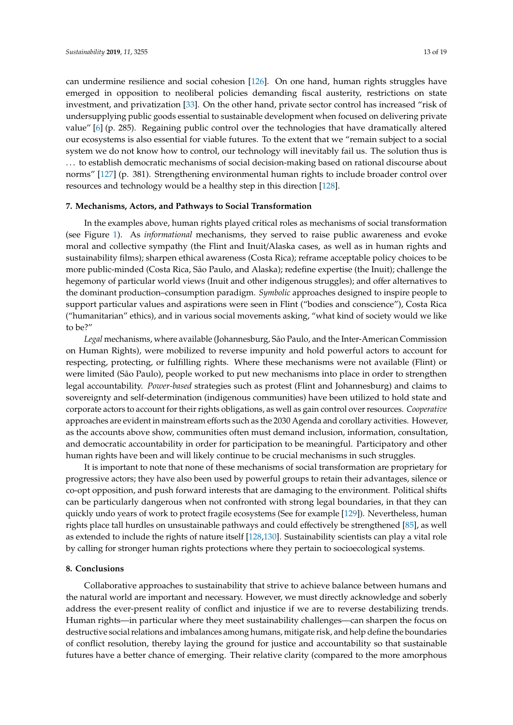can undermine resilience and social cohesion [\[126\]](#page-18-0). On one hand, human rights struggles have emerged in opposition to neoliberal policies demanding fiscal austerity, restrictions on state investment, and privatization [\[33\]](#page-14-16). On the other hand, private sector control has increased "risk of undersupplying public goods essential to sustainable development when focused on delivering private value" [\[6\]](#page-13-5) (p. 285). Regaining public control over the technologies that have dramatically altered our ecosystems is also essential for viable futures. To the extent that we "remain subject to a social system we do not know how to control, our technology will inevitably fail us. The solution thus is ... to establish democratic mechanisms of social decision-making based on rational discourse about norms" [\[127\]](#page-18-1) (p. 381). Strengthening environmental human rights to include broader control over resources and technology would be a healthy step in this direction [\[128\]](#page-18-2).

#### **7. Mechanisms, Actors, and Pathways to Social Transformation**

In the examples above, human rights played critical roles as mechanisms of social transformation (see Figure [1\)](#page-7-0). As *informational* mechanisms, they served to raise public awareness and evoke moral and collective sympathy (the Flint and Inuit/Alaska cases, as well as in human rights and sustainability films); sharpen ethical awareness (Costa Rica); reframe acceptable policy choices to be more public-minded (Costa Rica, São Paulo, and Alaska); redefine expertise (the Inuit); challenge the hegemony of particular world views (Inuit and other indigenous struggles); and offer alternatives to the dominant production–consumption paradigm. *Symbolic* approaches designed to inspire people to support particular values and aspirations were seen in Flint ("bodies and conscience"), Costa Rica ("humanitarian" ethics), and in various social movements asking, "what kind of society would we like to be?"

*Legal* mechanisms, where available (Johannesburg, São Paulo, and the Inter-American Commission on Human Rights), were mobilized to reverse impunity and hold powerful actors to account for respecting, protecting, or fulfilling rights. Where these mechanisms were not available (Flint) or were limited (São Paulo), people worked to put new mechanisms into place in order to strengthen legal accountability. *Power-based* strategies such as protest (Flint and Johannesburg) and claims to sovereignty and self-determination (indigenous communities) have been utilized to hold state and corporate actors to account for their rights obligations, as well as gain control over resources. *Cooperative* approaches are evident in mainstream efforts such as the 2030 Agenda and corollary activities. However, as the accounts above show, communities often must demand inclusion, information, consultation, and democratic accountability in order for participation to be meaningful. Participatory and other human rights have been and will likely continue to be crucial mechanisms in such struggles.

It is important to note that none of these mechanisms of social transformation are proprietary for progressive actors; they have also been used by powerful groups to retain their advantages, silence or co-opt opposition, and push forward interests that are damaging to the environment. Political shifts can be particularly dangerous when not confronted with strong legal boundaries, in that they can quickly undo years of work to protect fragile ecosystems (See for example [\[129\]](#page-18-3)). Nevertheless, human rights place tall hurdles on unsustainable pathways and could effectively be strengthened [\[85\]](#page-16-9), as well as extended to include the rights of nature itself [\[128,](#page-18-2)[130\]](#page-18-4). Sustainability scientists can play a vital role by calling for stronger human rights protections where they pertain to socioecological systems.

#### **8. Conclusions**

Collaborative approaches to sustainability that strive to achieve balance between humans and the natural world are important and necessary. However, we must directly acknowledge and soberly address the ever-present reality of conflict and injustice if we are to reverse destabilizing trends. Human rights—in particular where they meet sustainability challenges—can sharpen the focus on destructive social relations and imbalances among humans, mitigate risk, and help define the boundaries of conflict resolution, thereby laying the ground for justice and accountability so that sustainable futures have a better chance of emerging. Their relative clarity (compared to the more amorphous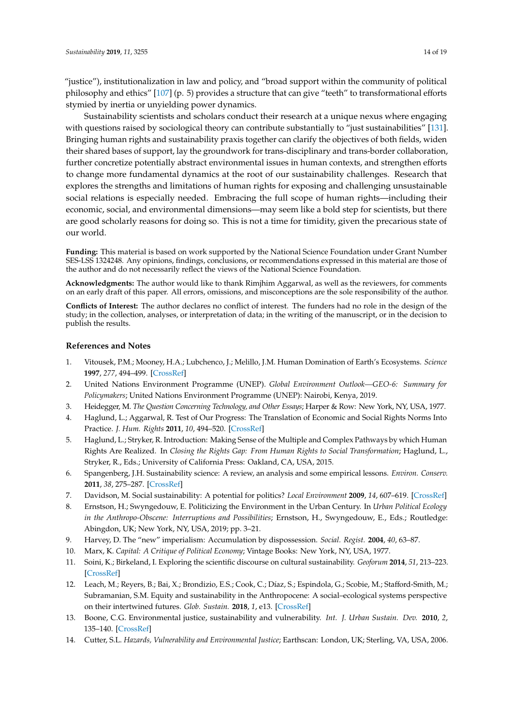"justice"), institutionalization in law and policy, and "broad support within the community of political philosophy and ethics" [\[107\]](#page-17-5) (p. 5) provides a structure that can give "teeth" to transformational efforts stymied by inertia or unyielding power dynamics.

Sustainability scientists and scholars conduct their research at a unique nexus where engaging with questions raised by sociological theory can contribute substantially to "just sustainabilities" [\[131\]](#page-18-5). Bringing human rights and sustainability praxis together can clarify the objectives of both fields, widen their shared bases of support, lay the groundwork for trans-disciplinary and trans-border collaboration, further concretize potentially abstract environmental issues in human contexts, and strengthen efforts to change more fundamental dynamics at the root of our sustainability challenges. Research that explores the strengths and limitations of human rights for exposing and challenging unsustainable social relations is especially needed. Embracing the full scope of human rights—including their economic, social, and environmental dimensions—may seem like a bold step for scientists, but there are good scholarly reasons for doing so. This is not a time for timidity, given the precarious state of our world.

**Funding:** This material is based on work supported by the National Science Foundation under Grant Number SES-LSS 1324248. Any opinions, findings, conclusions, or recommendations expressed in this material are those of the author and do not necessarily reflect the views of the National Science Foundation.

**Acknowledgments:** The author would like to thank Rimjhim Aggarwal, as well as the reviewers, for comments on an early draft of this paper. All errors, omissions, and misconceptions are the sole responsibility of the author.

**Conflicts of Interest:** The author declares no conflict of interest. The funders had no role in the design of the study; in the collection, analyses, or interpretation of data; in the writing of the manuscript, or in the decision to publish the results.

#### **References and Notes**

- <span id="page-13-0"></span>1. Vitousek, P.M.; Mooney, H.A.; Lubchenco, J.; Melillo, J.M. Human Domination of Earth's Ecosystems. *Science* **1997**, *277*, 494–499. [\[CrossRef\]](http://dx.doi.org/10.1126/science.277.5325.494)
- <span id="page-13-1"></span>2. United Nations Environment Programme (UNEP). *Global Environment Outlook—GEO-6: Summary for Policymakers*; United Nations Environment Programme (UNEP): Nairobi, Kenya, 2019.
- <span id="page-13-2"></span>3. Heidegger, M. *The Question Concerning Technology, and Other Essays*; Harper & Row: New York, NY, USA, 1977.
- <span id="page-13-3"></span>4. Haglund, L.; Aggarwal, R. Test of Our Progress: The Translation of Economic and Social Rights Norms Into Practice. *J. Hum. Rights* **2011**, *10*, 494–520. [\[CrossRef\]](http://dx.doi.org/10.1080/14754835.2011.619409)
- <span id="page-13-4"></span>5. Haglund, L.; Stryker, R. Introduction: Making Sense of the Multiple and Complex Pathways by which Human Rights Are Realized. In *Closing the Rights Gap: From Human Rights to Social Transformation*; Haglund, L., Stryker, R., Eds.; University of California Press: Oakland, CA, USA, 2015.
- <span id="page-13-5"></span>6. Spangenberg, J.H. Sustainability science: A review, an analysis and some empirical lessons. *Environ. Conserv.* **2011**, *38*, 275–287. [\[CrossRef\]](http://dx.doi.org/10.1017/S0376892911000270)
- <span id="page-13-6"></span>7. Davidson, M. Social sustainability: A potential for politics? *Local Environment* **2009**, *14*, 607–619. [\[CrossRef\]](http://dx.doi.org/10.1080/13549830903089291)
- <span id="page-13-7"></span>8. Ernstson, H.; Swyngedouw, E. Politicizing the Environment in the Urban Century. In *Urban Political Ecology in the Anthropo-Obscene: Interruptions and Possibilities*; Ernstson, H., Swyngedouw, E., Eds.; Routledge: Abingdon, UK; New York, NY, USA, 2019; pp. 3–21.
- <span id="page-13-8"></span>9. Harvey, D. The "new" imperialism: Accumulation by dispossession. *Social. Regist.* **2004**, *40*, 63–87.
- <span id="page-13-9"></span>10. Marx, K. *Capital: A Critique of Political Economy*; Vintage Books: New York, NY, USA, 1977.
- <span id="page-13-10"></span>11. Soini, K.; Birkeland, I. Exploring the scientific discourse on cultural sustainability. *Geoforum* **2014**, *51*, 213–223. [\[CrossRef\]](http://dx.doi.org/10.1016/j.geoforum.2013.12.001)
- <span id="page-13-11"></span>12. Leach, M.; Reyers, B.; Bai, X.; Brondizio, E.S.; Cook, C.; Díaz, S.; Espindola, G.; Scobie, M.; Stafford-Smith, M.; Subramanian, S.M. Equity and sustainability in the Anthropocene: A social–ecological systems perspective on their intertwined futures. *Glob. Sustain.* **2018**, *1*, e13. [\[CrossRef\]](http://dx.doi.org/10.1017/sus.2018.12)
- <span id="page-13-12"></span>13. Boone, C.G. Environmental justice, sustainability and vulnerability. *Int. J. Urban Sustain. Dev.* **2010**, *2*, 135–140. [\[CrossRef\]](http://dx.doi.org/10.1080/19463138.2010.513772)
- <span id="page-13-13"></span>14. Cutter, S.L. *Hazards, Vulnerability and Environmental Justice*; Earthscan: London, UK; Sterling, VA, USA, 2006.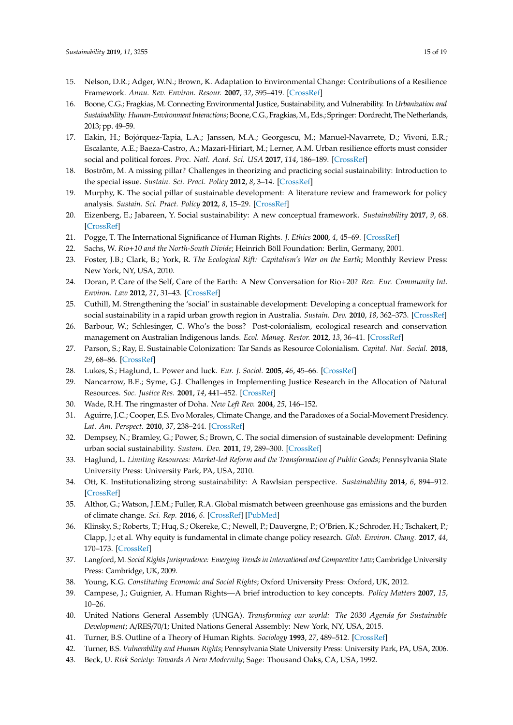- 15. Nelson, D.R.; Adger, W.N.; Brown, K. Adaptation to Environmental Change: Contributions of a Resilience Framework. *Annu. Rev. Environ. Resour.* **2007**, *32*, 395–419. [\[CrossRef\]](http://dx.doi.org/10.1146/annurev.energy.32.051807.090348)
- 16. Boone, C.G.; Fragkias, M. Connecting Environmental Justice, Sustainability, and Vulnerability. In *Urbanization and Sustainability: Human-Environment Interactions*; Boone, C.G., Fragkias,M., Eds.; Springer: Dordrecht, The Netherlands, 2013; pp. 49–59.
- <span id="page-14-0"></span>17. Eakin, H.; Bojórquez-Tapia, L.A.; Janssen, M.A.; Georgescu, M.; Manuel-Navarrete, D.; Vivoni, E.R.; Escalante, A.E.; Baeza-Castro, A.; Mazari-Hiriart, M.; Lerner, A.M. Urban resilience efforts must consider social and political forces. *Proc. Natl. Acad. Sci. USA* **2017**, *114*, 186–189. [\[CrossRef\]](http://dx.doi.org/10.1073/pnas.1620081114)
- <span id="page-14-1"></span>18. Boström, M. A missing pillar? Challenges in theorizing and practicing social sustainability: Introduction to the special issue. *Sustain. Sci. Pract. Policy* **2012**, *8*, 3–14. [\[CrossRef\]](http://dx.doi.org/10.1080/15487733.2012.11908080)
- <span id="page-14-2"></span>19. Murphy, K. The social pillar of sustainable development: A literature review and framework for policy analysis. *Sustain. Sci. Pract. Policy* **2012**, *8*, 15–29. [\[CrossRef\]](http://dx.doi.org/10.1080/15487733.2012.11908081)
- <span id="page-14-3"></span>20. Eizenberg, E.; Jabareen, Y. Social sustainability: A new conceptual framework. *Sustainability* **2017**, *9*, 68. [\[CrossRef\]](http://dx.doi.org/10.3390/su9010068)
- <span id="page-14-4"></span>21. Pogge, T. The International Significance of Human Rights. *J. Ethics* **2000**, *4*, 45–69. [\[CrossRef\]](http://dx.doi.org/10.1023/A:1009852018252)
- <span id="page-14-5"></span>22. Sachs, W. *Rio*+*10 and the North-South Divide*; Heinrich Böll Foundation: Berlin, Germany, 2001.
- <span id="page-14-6"></span>23. Foster, J.B.; Clark, B.; York, R. *The Ecological Rift: Capitalism's War on the Earth*; Monthly Review Press: New York, NY, USA, 2010.
- <span id="page-14-7"></span>24. Doran, P. Care of the Self, Care of the Earth: A New Conversation for Rio+20? *Rev. Eur. Community Int. Environ. Law* **2012**, *21*, 31–43. [\[CrossRef\]](http://dx.doi.org/10.1111/j.1467-9388.2012.00738.x)
- <span id="page-14-8"></span>25. Cuthill, M. Strengthening the 'social' in sustainable development: Developing a conceptual framework for social sustainability in a rapid urban growth region in Australia. *Sustain. Dev.* **2010**, *18*, 362–373. [\[CrossRef\]](http://dx.doi.org/10.1002/sd.397)
- <span id="page-14-9"></span>26. Barbour, W.; Schlesinger, C. Who's the boss? Post-colonialism, ecological research and conservation management on Australian Indigenous lands. *Ecol. Manag. Restor.* **2012**, *13*, 36–41. [\[CrossRef\]](http://dx.doi.org/10.1111/j.1442-8903.2011.00632.x)
- <span id="page-14-10"></span>27. Parson, S.; Ray, E. Sustainable Colonization: Tar Sands as Resource Colonialism. *Capital. Nat. Social.* **2018**, *29*, 68–86. [\[CrossRef\]](http://dx.doi.org/10.1080/10455752.2016.1268187)
- <span id="page-14-11"></span>28. Lukes, S.; Haglund, L. Power and luck. *Eur. J. Sociol.* **2005**, *46*, 45–66. [\[CrossRef\]](http://dx.doi.org/10.1017/S0003975605000020)
- <span id="page-14-12"></span>29. Nancarrow, B.E.; Syme, G.J. Challenges in Implementing Justice Research in the Allocation of Natural Resources. *Soc. Justice Res.* **2001**, *14*, 441–452. [\[CrossRef\]](http://dx.doi.org/10.1023/A:1014606929949)
- <span id="page-14-13"></span>30. Wade, R.H. The ringmaster of Doha. *New Left Rev.* **2004**, *25*, 146–152.
- <span id="page-14-14"></span>31. Aguirre, J.C.; Cooper, E.S. Evo Morales, Climate Change, and the Paradoxes of a Social-Movement Presidency. *Lat. Am. Perspect.* **2010**, *37*, 238–244. [\[CrossRef\]](http://dx.doi.org/10.1177/0094582X10376362)
- <span id="page-14-15"></span>32. Dempsey, N.; Bramley, G.; Power, S.; Brown, C. The social dimension of sustainable development: Defining urban social sustainability. *Sustain. Dev.* **2011**, *19*, 289–300. [\[CrossRef\]](http://dx.doi.org/10.1002/sd.417)
- <span id="page-14-16"></span>33. Haglund, L. *Limiting Resources: Market-led Reform and the Transformation of Public Goods*; Pennsylvania State University Press: University Park, PA, USA, 2010.
- <span id="page-14-17"></span>34. Ott, K. Institutionalizing strong sustainability: A Rawlsian perspective. *Sustainability* **2014**, *6*, 894–912. [\[CrossRef\]](http://dx.doi.org/10.3390/su6020894)
- <span id="page-14-18"></span>35. Althor, G.; Watson, J.E.M.; Fuller, R.A. Global mismatch between greenhouse gas emissions and the burden of climate change. *Sci. Rep.* **2016**, *6*. [\[CrossRef\]](http://dx.doi.org/10.1038/srep20281) [\[PubMed\]](http://www.ncbi.nlm.nih.gov/pubmed/26848052)
- <span id="page-14-19"></span>36. Klinsky, S.; Roberts, T.; Huq, S.; Okereke, C.; Newell, P.; Dauvergne, P.; O'Brien, K.; Schroder, H.; Tschakert, P.; Clapp, J.; et al. Why equity is fundamental in climate change policy research. *Glob. Environ. Chang.* **2017**, *44*, 170–173. [\[CrossRef\]](http://dx.doi.org/10.1016/j.gloenvcha.2016.08.002)
- <span id="page-14-20"></span>37. Langford, M. *Social Rights Jurisprudence: Emerging Trends in International and Comparative Law*; Cambridge University Press: Cambridge, UK, 2009.
- <span id="page-14-21"></span>38. Young, K.G. *Constituting Economic and Social Rights*; Oxford University Press: Oxford, UK, 2012.
- <span id="page-14-22"></span>39. Campese, J.; Guignier, A. Human Rights—A brief introduction to key concepts. *Policy Matters* **2007**, *15*, 10–26.
- <span id="page-14-23"></span>40. United Nations General Assembly (UNGA). *Transforming our world: The 2030 Agenda for Sustainable Development*; A/RES/70/1; United Nations General Assembly: New York, NY, USA, 2015.
- <span id="page-14-24"></span>41. Turner, B.S. Outline of a Theory of Human Rights. *Sociology* **1993**, *27*, 489–512. [\[CrossRef\]](http://dx.doi.org/10.1177/0038038593027003009)
- <span id="page-14-25"></span>42. Turner, B.S. *Vulnerability and Human Rights*; Pennsylvania State University Press: University Park, PA, USA, 2006.
- 43. Beck, U. *Risk Society: Towards A New Modernity*; Sage: Thousand Oaks, CA, USA, 1992.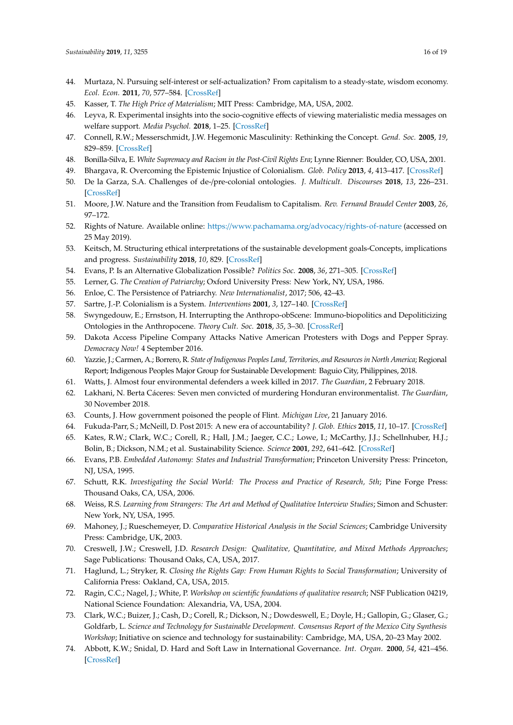- <span id="page-15-0"></span>44. Murtaza, N. Pursuing self-interest or self-actualization? From capitalism to a steady-state, wisdom economy. *Ecol. Econ.* **2011**, *70*, 577–584. [\[CrossRef\]](http://dx.doi.org/10.1016/j.ecolecon.2010.10.012)
- <span id="page-15-1"></span>45. Kasser, T. *The High Price of Materialism*; MIT Press: Cambridge, MA, USA, 2002.
- <span id="page-15-2"></span>46. Leyva, R. Experimental insights into the socio-cognitive effects of viewing materialistic media messages on welfare support. *Media Psychol.* **2018**, 1–25. [\[CrossRef\]](http://dx.doi.org/10.1080/15213269.2018.1484769)
- <span id="page-15-3"></span>47. Connell, R.W.; Messerschmidt, J.W. Hegemonic Masculinity: Rethinking the Concept. *Gend. Soc.* **2005**, *19*, 829–859. [\[CrossRef\]](http://dx.doi.org/10.1177/0891243205278639)
- <span id="page-15-4"></span>48. Bonilla-Silva, E. *White Supremacy and Racism in the Post-Civil Rights Era*; Lynne Rienner: Boulder, CO, USA, 2001.
- <span id="page-15-5"></span>49. Bhargava, R. Overcoming the Epistemic Injustice of Colonialism. *Glob. Policy* **2013**, *4*, 413–417. [\[CrossRef\]](http://dx.doi.org/10.1111/1758-5899.12093)
- <span id="page-15-6"></span>50. De la Garza, S.A. Challenges of de-/pre-colonial ontologies. *J. Multicult. Discourses* **2018**, *13*, 226–231. [\[CrossRef\]](http://dx.doi.org/10.1080/17447143.2018.1519886)
- <span id="page-15-7"></span>51. Moore, J.W. Nature and the Transition from Feudalism to Capitalism. *Rev. Fernand Braudel Center* **2003**, *26*, 97–172.
- <span id="page-15-8"></span>52. Rights of Nature. Available online: https://[www.pachamama.org](https://www.pachamama.org/advocacy/rights-of-nature)/advocacy/rights-of-nature (accessed on 25 May 2019).
- <span id="page-15-9"></span>53. Keitsch, M. Structuring ethical interpretations of the sustainable development goals-Concepts, implications and progress. *Sustainability* **2018**, *10*, 829. [\[CrossRef\]](http://dx.doi.org/10.3390/su10030829)
- <span id="page-15-10"></span>54. Evans, P. Is an Alternative Globalization Possible? *Politics Soc.* **2008**, *36*, 271–305. [\[CrossRef\]](http://dx.doi.org/10.1177/0032329208316570)
- <span id="page-15-11"></span>55. Lerner, G. *The Creation of Patriarchy*; Oxford University Press: New York, NY, USA, 1986.
- <span id="page-15-12"></span>56. Enloe, C. The Persistence of Patriarchy. *New Internationalist*, 2017; 506, 42–43.
- <span id="page-15-13"></span>57. Sartre, J.-P. Colonialism is a System. *Interventions* **2001**, *3*, 127–140. [\[CrossRef\]](http://dx.doi.org/10.1080/13698010020027074)
- <span id="page-15-14"></span>58. Swyngedouw, E.; Ernstson, H. Interrupting the Anthropo-obScene: Immuno-biopolitics and Depoliticizing Ontologies in the Anthropocene. *Theory Cult. Soc.* **2018**, *35*, 3–30. [\[CrossRef\]](http://dx.doi.org/10.1177/0263276418757314)
- <span id="page-15-15"></span>59. Dakota Access Pipeline Company Attacks Native American Protesters with Dogs and Pepper Spray. *Democracy Now!* 4 September 2016.
- <span id="page-15-16"></span>60. Yazzie, J.; Carmen, A.; Borrero, R. *State of Indigenous Peoples Land, Territories, and Resources in North America*; Regional Report; Indigenous Peoples Major Group for Sustainable Development: Baguio City, Philippines, 2018.
- <span id="page-15-17"></span>61. Watts, J. Almost four environmental defenders a week killed in 2017. *The Guardian*, 2 February 2018.
- <span id="page-15-18"></span>62. Lakhani, N. Berta Cáceres: Seven men convicted of murdering Honduran environmentalist. *The Guardian*, 30 November 2018.
- <span id="page-15-19"></span>63. Counts, J. How government poisoned the people of Flint. *Michigan Live*, 21 January 2016.
- <span id="page-15-20"></span>64. Fukuda-Parr, S.; McNeill, D. Post 2015: A new era of accountability? *J. Glob. Ethics* **2015**, *11*, 10–17. [\[CrossRef\]](http://dx.doi.org/10.1080/17449626.2015.1004738)
- <span id="page-15-21"></span>65. Kates, R.W.; Clark, W.C.; Corell, R.; Hall, J.M.; Jaeger, C.C.; Lowe, I.; McCarthy, J.J.; Schellnhuber, H.J.; Bolin, B.; Dickson, N.M.; et al. Sustainability Science. *Science* **2001**, *292*, 641–642. [\[CrossRef\]](http://dx.doi.org/10.1126/science.1059386)
- <span id="page-15-22"></span>66. Evans, P.B. *Embedded Autonomy: States and Industrial Transformation*; Princeton University Press: Princeton, NJ, USA, 1995.
- <span id="page-15-23"></span>67. Schutt, R.K. *Investigating the Social World: The Process and Practice of Research, 5th*; Pine Forge Press: Thousand Oaks, CA, USA, 2006.
- <span id="page-15-24"></span>68. Weiss, R.S. *Learning from Strangers: The Art and Method of Qualitative Interview Studies*; Simon and Schuster: New York, NY, USA, 1995.
- <span id="page-15-25"></span>69. Mahoney, J.; Rueschemeyer, D. *Comparative Historical Analysis in the Social Sciences*; Cambridge University Press: Cambridge, UK, 2003.
- <span id="page-15-26"></span>70. Creswell, J.W.; Creswell, J.D. *Research Design: Qualitative, Quantitative, and Mixed Methods Approaches*; Sage Publications: Thousand Oaks, CA, USA, 2017.
- <span id="page-15-27"></span>71. Haglund, L.; Stryker, R. *Closing the Rights Gap: From Human Rights to Social Transformation*; University of California Press: Oakland, CA, USA, 2015.
- <span id="page-15-28"></span>72. Ragin, C.C.; Nagel, J.; White, P. *Workshop on scientific foundations of qualitative research*; NSF Publication 04219, National Science Foundation: Alexandria, VA, USA, 2004.
- <span id="page-15-29"></span>73. Clark, W.C.; Buizer, J.; Cash, D.; Corell, R.; Dickson, N.; Dowdeswell, E.; Doyle, H.; Gallopin, G.; Glaser, G.; Goldfarb, L. *Science and Technology for Sustainable Development. Consensus Report of the Mexico City Synthesis Workshop*; Initiative on science and technology for sustainability: Cambridge, MA, USA, 20–23 May 2002.
- <span id="page-15-30"></span>74. Abbott, K.W.; Snidal, D. Hard and Soft Law in International Governance. *Int. Organ.* **2000**, *54*, 421–456. [\[CrossRef\]](http://dx.doi.org/10.1162/002081800551280)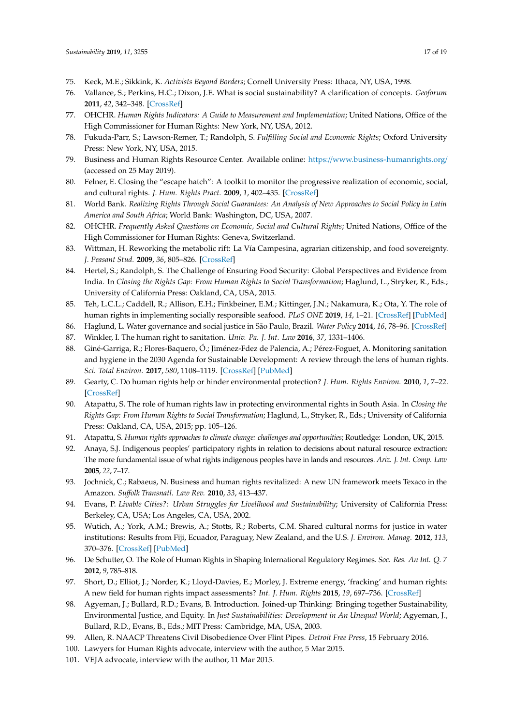- <span id="page-16-0"></span>75. Keck, M.E.; Sikkink, K. *Activists Beyond Borders*; Cornell University Press: Ithaca, NY, USA, 1998.
- <span id="page-16-1"></span>76. Vallance, S.; Perkins, H.C.; Dixon, J.E. What is social sustainability? A clarification of concepts. *Geoforum* **2011**, *42*, 342–348. [\[CrossRef\]](http://dx.doi.org/10.1016/j.geoforum.2011.01.002)
- <span id="page-16-2"></span>77. OHCHR. *Human Rights Indicators: A Guide to Measurement and Implementation*; United Nations, Office of the High Commissioner for Human Rights: New York, NY, USA, 2012.
- <span id="page-16-6"></span>78. Fukuda-Parr, S.; Lawson-Remer, T.; Randolph, S. *Fulfilling Social and Economic Rights*; Oxford University Press: New York, NY, USA, 2015.
- <span id="page-16-3"></span>79. Business and Human Rights Resource Center. Available online: https://[www.business-humanrights.org](https://www.business-humanrights.org/)/ (accessed on 25 May 2019).
- <span id="page-16-4"></span>80. Felner, E. Closing the "escape hatch": A toolkit to monitor the progressive realization of economic, social, and cultural rights. *J. Hum. Rights Pract.* **2009**, *1*, 402–435. [\[CrossRef\]](http://dx.doi.org/10.1093/jhuman/hup023)
- <span id="page-16-5"></span>81. World Bank. *Realizing Rights Through Social Guarantees: An Analysis of New Approaches to Social Policy in Latin America and South Africa*; World Bank: Washington, DC, USA, 2007.
- <span id="page-16-7"></span>82. OHCHR. *Frequently Asked Questions on Economic, Social and Cultural Rights*; United Nations, Office of the High Commissioner for Human Rights: Geneva, Switzerland.
- <span id="page-16-8"></span>83. Wittman, H. Reworking the metabolic rift: La Vía Campesina, agrarian citizenship, and food sovereignty. *J. Peasant Stud.* **2009**, *36*, 805–826. [\[CrossRef\]](http://dx.doi.org/10.1080/03066150903353991)
- 84. Hertel, S.; Randolph, S. The Challenge of Ensuring Food Security: Global Perspectives and Evidence from India. In *Closing the Rights Gap: From Human Rights to Social Transformation*; Haglund, L., Stryker, R., Eds.; University of California Press: Oakland, CA, USA, 2015.
- <span id="page-16-9"></span>85. Teh, L.C.L.; Caddell, R.; Allison, E.H.; Finkbeiner, E.M.; Kittinger, J.N.; Nakamura, K.; Ota, Y. The role of human rights in implementing socially responsible seafood. *PLoS ONE* **2019**, *14*, 1–21. [\[CrossRef\]](http://dx.doi.org/10.1371/journal.pone.0210241) [\[PubMed\]](http://www.ncbi.nlm.nih.gov/pubmed/30682056)
- <span id="page-16-10"></span>86. Haglund, L. Water governance and social justice in São Paulo, Brazil. *Water Policy* **2014**, *16*, 78–96. [\[CrossRef\]](http://dx.doi.org/10.2166/wp.2014.208)
- 87. Winkler, I. The human right to sanitation. *Univ. Pa. J. Int. Law* **2016**, *37*, 1331–1406.
- <span id="page-16-11"></span>88. Giné-Garriga, R.; Flores-Baquero, Ó.; Jiménez-Fdez de Palencia, A.; Pérez-Foguet, A. Monitoring sanitation and hygiene in the 2030 Agenda for Sustainable Development: A review through the lens of human rights. *Sci. Total Environ.* **2017**, *580*, 1108–1119. [\[CrossRef\]](http://dx.doi.org/10.1016/j.scitotenv.2016.12.066) [\[PubMed\]](http://www.ncbi.nlm.nih.gov/pubmed/27989472)
- <span id="page-16-12"></span>89. Gearty, C. Do human rights help or hinder environmental protection? *J. Hum. Rights Environ.* **2010**, *1*, 7–22. [\[CrossRef\]](http://dx.doi.org/10.4337/jhre.2010.01.01)
- <span id="page-16-13"></span>90. Atapattu, S. The role of human rights law in protecting environmental rights in South Asia. In *Closing the Rights Gap: From Human Rights to Social Transformation*; Haglund, L., Stryker, R., Eds.; University of California Press: Oakland, CA, USA, 2015; pp. 105–126.
- <span id="page-16-14"></span>91. Atapattu, S. *Human rights approaches to climate change: challenges and opportunities*; Routledge: London, UK, 2015.
- <span id="page-16-15"></span>92. Anaya, S.J. Indigenous peoples' participatory rights in relation to decisions about natural resource extraction: The more fundamental issue of what rights indigenous peoples have in lands and resources. *Ariz. J. Int. Comp. Law* **2005**, *22*, 7–17.
- <span id="page-16-16"></span>93. Jochnick, C.; Rabaeus, N. Business and human rights revitalized: A new UN framework meets Texaco in the Amazon. *Su*ff*olk Transnatl. Law Rev.* **2010**, *33*, 413–437.
- <span id="page-16-17"></span>94. Evans, P. *Livable Cities?: Urban Struggles for Livelihood and Sustainability*; University of California Press: Berkeley, CA, USA; Los Angeles, CA, USA, 2002.
- <span id="page-16-18"></span>95. Wutich, A.; York, A.M.; Brewis, A.; Stotts, R.; Roberts, C.M. Shared cultural norms for justice in water institutions: Results from Fiji, Ecuador, Paraguay, New Zealand, and the U.S. *J. Environ. Manag.* **2012**, *113*, 370–376. [\[CrossRef\]](http://dx.doi.org/10.1016/j.jenvman.2012.09.010) [\[PubMed\]](http://www.ncbi.nlm.nih.gov/pubmed/23083693)
- <span id="page-16-19"></span>96. De Schutter, O. The Role of Human Rights in Shaping International Regulatory Regimes. *Soc. Res. An Int. Q. 7* **2012**, *9*, 785–818.
- <span id="page-16-20"></span>97. Short, D.; Elliot, J.; Norder, K.; Lloyd-Davies, E.; Morley, J. Extreme energy, 'fracking' and human rights: A new field for human rights impact assessments? *Int. J. Hum. Rights* **2015**, *19*, 697–736. [\[CrossRef\]](http://dx.doi.org/10.1080/13642987.2015.1019219)
- <span id="page-16-21"></span>98. Agyeman, J.; Bullard, R.D.; Evans, B. Introduction. Joined-up Thinking: Bringing together Sustainability, Environmental Justice, and Equity. In *Just Sustainabilities: Development in An Unequal World*; Agyeman, J., Bullard, R.D., Evans, B., Eds.; MIT Press: Cambridge, MA, USA, 2003.
- <span id="page-16-22"></span>99. Allen, R. NAACP Threatens Civil Disobedience Over Flint Pipes. *Detroit Free Press*, 15 February 2016.
- <span id="page-16-24"></span><span id="page-16-23"></span>100. Lawyers for Human Rights advocate, interview with the author, 5 Mar 2015.
- 101. VEJA advocate, interview with the author, 11 Mar 2015.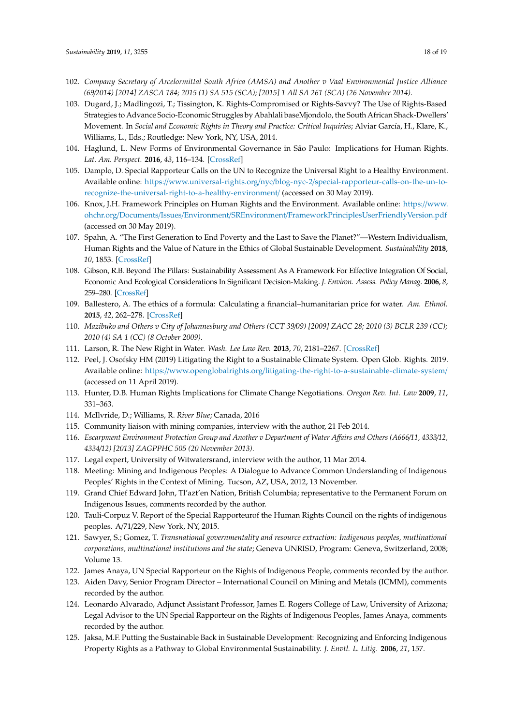- <span id="page-17-0"></span>102. *Company Secretary of Arcelormittal South Africa (AMSA) and Another v Vaal Environmental Justice Alliance (69*/*2014) [2014] ZASCA 184; 2015 (1) SA 515 (SCA); [2015] 1 All SA 261 (SCA) (26 November 2014)*.
- <span id="page-17-1"></span>103. Dugard, J.; Madlingozi, T.; Tissington, K. Rights-Compromised or Rights-Savvy? The Use of Rights-Based Strategies to Advance Socio-Economic Struggles by Abahlali baseMjondolo, the South African Shack-Dwellers' Movement. In *Social and Economic Rights in Theory and Practice: Critical Inquiries*; Alviar García, H., Klare, K., Williams, L., Eds.; Routledge: New York, NY, USA, 2014.
- <span id="page-17-2"></span>104. Haglund, L. New Forms of Environmental Governance in São Paulo: Implications for Human Rights. *Lat. Am. Perspect.* **2016**, *43*, 116–134. [\[CrossRef\]](http://dx.doi.org/10.1177/0094582X15573243)
- <span id="page-17-3"></span>105. Damplo, D. Special Rapporteur Calls on the UN to Recognize the Universal Right to a Healthy Environment. Available online: https://www.universal-rights.org/nyc/blog-nyc-2/[special-rapporteur-calls-on-the-un-to](https://www.universal-rights.org/nyc/blog-nyc-2/special-rapporteur-calls-on-the-un-to-recognize-the-universal-right-to-a-healthy-environment/)[recognize-the-universal-right-to-a-healthy-environment](https://www.universal-rights.org/nyc/blog-nyc-2/special-rapporteur-calls-on-the-un-to-recognize-the-universal-right-to-a-healthy-environment/)/ (accessed on 30 May 2019).
- <span id="page-17-4"></span>106. Knox, J.H. Framework Principles on Human Rights and the Environment. Available online: https://[www.](https://www.ohchr.org/Documents/Issues/Environment/SREnvironment/FrameworkPrinciplesUserFriendlyVersion.pdf) ohchr.org/Documents/Issues/Environment/SREnvironment/[FrameworkPrinciplesUserFriendlyVersion.pdf](https://www.ohchr.org/Documents/Issues/Environment/SREnvironment/FrameworkPrinciplesUserFriendlyVersion.pdf) (accessed on 30 May 2019).
- <span id="page-17-5"></span>107. Spahn, A. "The First Generation to End Poverty and the Last to Save the Planet?"—Western Individualism, Human Rights and the Value of Nature in the Ethics of Global Sustainable Development. *Sustainability* **2018**, *10*, 1853. [\[CrossRef\]](http://dx.doi.org/10.3390/su10061853)
- <span id="page-17-6"></span>108. Gibson, R.B. Beyond The Pillars: Sustainability Assessment As A Framework For Effective Integration Of Social, Economic And Ecological Considerations In Significant Decision-Making. *J. Environ. Assess. Policy Manag.* **2006**, *8*, 259–280. [\[CrossRef\]](http://dx.doi.org/10.1142/S1464333206002517)
- <span id="page-17-7"></span>109. Ballestero, A. The ethics of a formula: Calculating a financial–humanitarian price for water. *Am. Ethnol.* **2015**, *42*, 262–278. [\[CrossRef\]](http://dx.doi.org/10.1111/amet.12129)
- <span id="page-17-8"></span>110. *Mazibuko and Others v City of Johannesburg and Others (CCT 39*/*09) [2009] ZACC 28; 2010 (3) BCLR 239 (CC); 2010 (4) SA 1 (CC) (8 October 2009)*.
- <span id="page-17-9"></span>111. Larson, R. The New Right in Water. *Wash. Lee Law Rev.* **2013**, *70*, 2181–2267. [\[CrossRef\]](http://dx.doi.org/10.2139/ssrn.2279557)
- <span id="page-17-10"></span>112. Peel, J. Osofsky HM (2019) Litigating the Right to a Sustainable Climate System. Open Glob. Rights. 2019. Available online: https://www.openglobalrights.org/[litigating-the-right-to-a-sustainable-climate-system](https://www.openglobalrights.org/litigating-the-right-to-a-sustainable-climate-system/)/ (accessed on 11 April 2019).
- <span id="page-17-11"></span>113. Hunter, D.B. Human Rights Implications for Climate Change Negotiations. *Oregon Rev. Int. Law* **2009**, *11*, 331–363.
- <span id="page-17-12"></span>114. McIlvride, D.; Williams, R. *River Blue*; Canada, 2016
- <span id="page-17-13"></span>115. Community liaison with mining companies, interview with the author, 21 Feb 2014.
- <span id="page-17-14"></span>116. *Escarpment Environment Protection Group and Another v Department of Water A*ff*airs and Others (A666*/*11, 4333*/*12, 4334*/*12) [2013] ZAGPPHC 505 (20 November 2013)*.
- <span id="page-17-15"></span>117. Legal expert, University of Witwatersrand, interview with the author, 11 Mar 2014.
- <span id="page-17-16"></span>118. Meeting: Mining and Indigenous Peoples: A Dialogue to Advance Common Understanding of Indigenous Peoples' Rights in the Context of Mining. Tucson, AZ, USA, 2012, 13 November.
- <span id="page-17-17"></span>119. Grand Chief Edward John, Tl'azt'en Nation, British Columbia; representative to the Permanent Forum on Indigenous Issues, comments recorded by the author.
- <span id="page-17-18"></span>120. Tauli-Corpuz V. Report of the Special Rapporteurof the Human Rights Council on the rights of indigenous peoples. A/71/229, New York, NY, 2015.
- <span id="page-17-19"></span>121. Sawyer, S.; Gomez, T. *Transnational governmentality and resource extraction: Indigenous peoples, mutlinational corporations, multinational institutions and the state*; Geneva UNRISD, Program: Geneva, Switzerland, 2008; Volume 13.
- <span id="page-17-20"></span>122. James Anaya, UN Special Rapporteur on the Rights of Indigenous People, comments recorded by the author.
- <span id="page-17-21"></span>123. Aiden Davy, Senior Program Director – International Council on Mining and Metals (ICMM), comments recorded by the author.
- <span id="page-17-22"></span>124. Leonardo Alvarado, Adjunct Assistant Professor, James E. Rogers College of Law, University of Arizona; Legal Advisor to the UN Special Rapporteur on the Rights of Indigenous Peoples, James Anaya, comments recorded by the author.
- <span id="page-17-23"></span>125. Jaksa, M.F. Putting the Sustainable Back in Sustainable Development: Recognizing and Enforcing Indigenous Property Rights as a Pathway to Global Environmental Sustainability. *J. Envtl. L. Litig.* **2006**, *21*, 157.